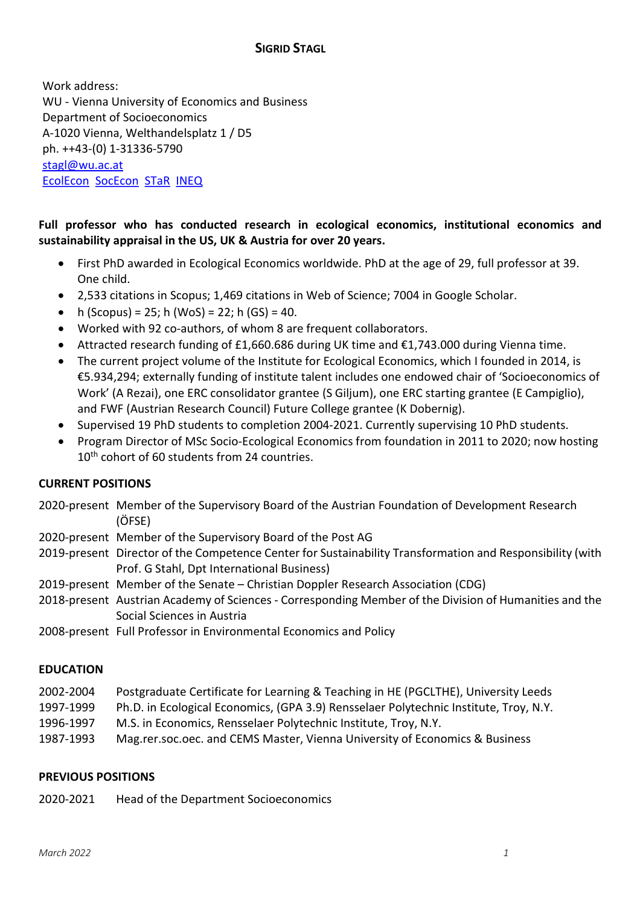# **SIGRID STAGL**

Work address: WU - Vienna University of Economics and Business Department of Socioeconomics A-1020 Vienna, Welthandelsplatz 1 / D5 ph. ++43-(0) 1-31336-5790 stagl@wu.ac.at EcolEcon SocEcon STaR INEQ

# **Full professor who has conducted research in ecological economics, institutional economics and sustainability appraisal in the US, UK & Austria for over 20 years.**

- First PhD awarded in Ecological Economics worldwide. PhD at the age of 29, full professor at 39. One child.
- 2,533 citations in Scopus; 1,469 citations in Web of Science; 7004 in Google Scholar.
- h (Scopus) = 25; h (WoS) = 22; h (GS) = 40.
- Worked with 92 co-authors, of whom 8 are frequent collaborators.
- Attracted research funding of £1,660.686 during UK time and  $\epsilon$ 1,743.000 during Vienna time.
- The current project volume of the Institute for Ecological Economics, which I founded in 2014, is €5.934,294; externally funding of institute talent includes one endowed chair of 'Socioeconomics of Work' (A Rezai), one ERC consolidator grantee (S Giljum), one ERC starting grantee (E Campiglio), and FWF (Austrian Research Council) Future College grantee (K Dobernig).
- Supervised 19 PhD students to completion 2004-2021. Currently supervising 10 PhD students.
- Program Director of MSc Socio-Ecological Economics from foundation in 2011 to 2020; now hosting 10<sup>th</sup> cohort of 60 students from 24 countries.

# **CURRENT POSITIONS**

- 2020-present Member of the Supervisory Board of the Austrian Foundation of Development Research (ÖFSE)
- 2020-present Member of the Supervisory Board of the Post AG
- 2019-present Director of the Competence Center for Sustainability Transformation and Responsibility (with Prof. G Stahl, Dpt International Business)
- 2019-present Member of the Senate Christian Doppler Research Association (CDG)
- 2018-present Austrian Academy of Sciences Corresponding Member of the Division of Humanities and the Social Sciences in Austria
- 2008-present Full Professor in Environmental Economics and Policy

## **EDUCATION**

- 2002-2004 Postgraduate Certificate for Learning & Teaching in HE (PGCLTHE), University Leeds
- 1997-1999 Ph.D. in Ecological Economics, (GPA 3.9) Rensselaer Polytechnic Institute, Troy, N.Y.
- 1996-1997 M.S. in Economics, Rensselaer Polytechnic Institute, Troy, N.Y.
- 1987-1993 Mag.rer.soc.oec. and CEMS Master, Vienna University of Economics & Business

## **PREVIOUS POSITIONS**

2020-2021 Head of the Department Socioeconomics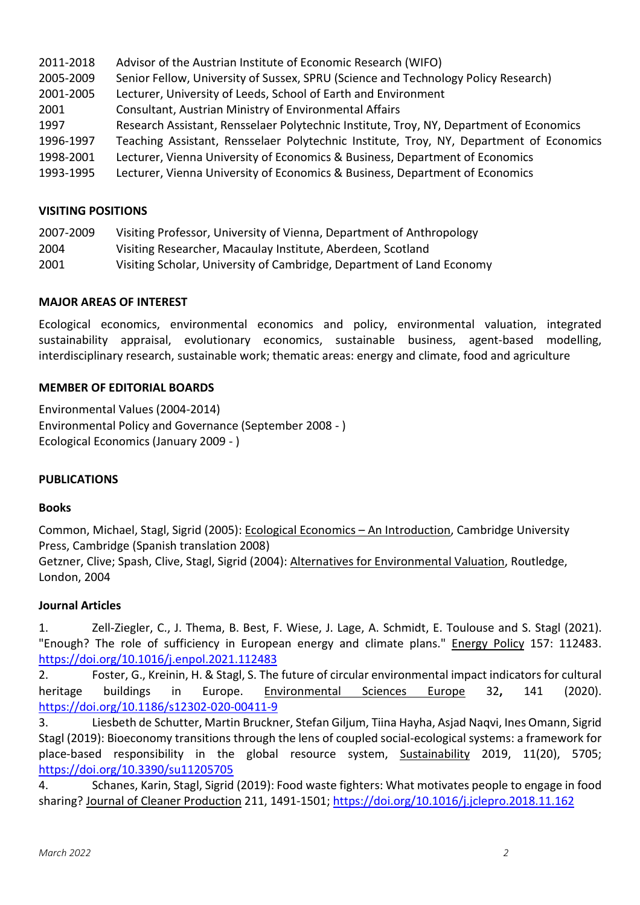| 2011-2018 | Advisor of the Austrian Institute of Economic Research (WIFO)                           |
|-----------|-----------------------------------------------------------------------------------------|
| 2005-2009 | Senior Fellow, University of Sussex, SPRU (Science and Technology Policy Research)      |
| 2001-2005 | Lecturer, University of Leeds, School of Earth and Environment                          |
| 2001      | Consultant, Austrian Ministry of Environmental Affairs                                  |
| 1997      | Research Assistant, Rensselaer Polytechnic Institute, Troy, NY, Department of Economics |
| 1996-1997 | Teaching Assistant, Rensselaer Polytechnic Institute, Troy, NY, Department of Economics |
| 1998-2001 | Lecturer, Vienna University of Economics & Business, Department of Economics            |
| 1993-1995 | Lecturer, Vienna University of Economics & Business, Department of Economics            |
|           |                                                                                         |

## **VISITING POSITIONS**

| 2007-2009 |  |  |  |  |  | Visiting Professor, University of Vienna, Department of Anthropology |  |
|-----------|--|--|--|--|--|----------------------------------------------------------------------|--|
| $\cdots$  |  |  |  |  |  |                                                                      |  |

- 2004 Visiting Researcher, Macaulay Institute, Aberdeen, Scotland
- 2001 Visiting Scholar, University of Cambridge, Department of Land Economy

## **MAJOR AREAS OF INTEREST**

Ecological economics, environmental economics and policy, environmental valuation, integrated sustainability appraisal, evolutionary economics, sustainable business, agent-based modelling, interdisciplinary research, sustainable work; thematic areas: energy and climate, food and agriculture

## **MEMBER OF EDITORIAL BOARDS**

Environmental Values (2004-2014) Environmental Policy and Governance (September 2008 - ) Ecological Economics (January 2009 - )

## **PUBLICATIONS**

## **Books**

Common, Michael, Stagl, Sigrid (2005): Ecological Economics – An Introduction, Cambridge University Press, Cambridge (Spanish translation 2008)

Getzner, Clive; Spash, Clive, Stagl, Sigrid (2004): Alternatives for Environmental Valuation, Routledge, London, 2004

## **Journal Articles**

1. Zell-Ziegler, C., J. Thema, B. Best, F. Wiese, J. Lage, A. Schmidt, E. Toulouse and S. Stagl (2021). "Enough? The role of sufficiency in European energy and climate plans." Energy Policy 157: 112483. https://doi.org/10.1016/j.enpol.2021.112483

2. Foster, G., Kreinin, H. & Stagl, S. The future of circular environmental impact indicators for cultural heritage buildings in Europe. Environmental Sciences Europe 32**,** 141 (2020). https://doi.org/10.1186/s12302-020-00411-9

3. Liesbeth de Schutter, Martin Bruckner, Stefan Giljum, Tiina Hayha, Asjad Naqvi, Ines Omann, Sigrid Stagl (2019): Bioeconomy transitions through the lens of coupled social-ecological systems: a framework for place-based responsibility in the global resource system, Sustainability 2019, 11(20), 5705; https://doi.org/10.3390/su11205705

4. Schanes, Karin, Stagl, Sigrid (2019): Food waste fighters: What motivates people to engage in food sharing? Journal of Cleaner Production 211, 1491-1501; https://doi.org/10.1016/j.jclepro.2018.11.162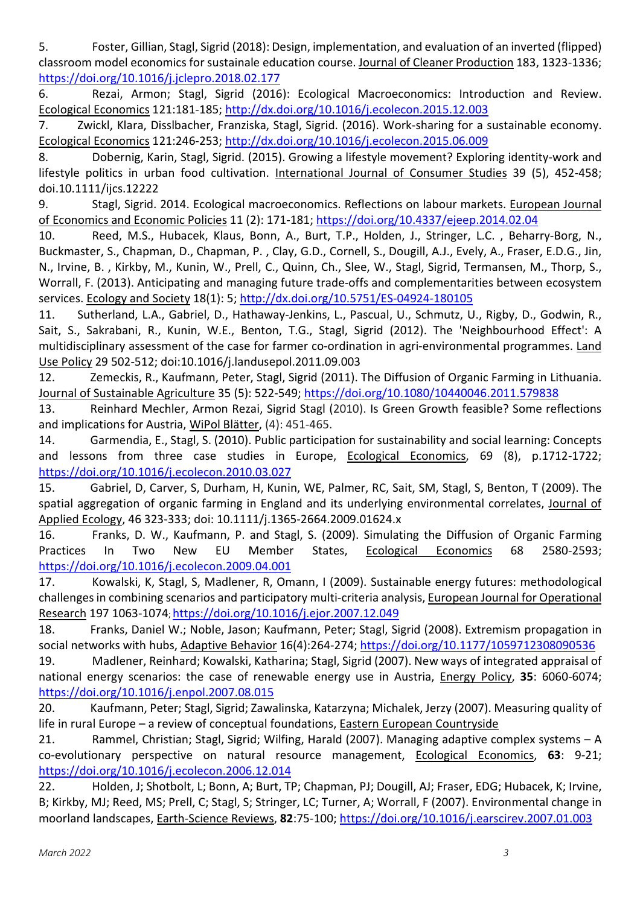5. Foster, Gillian, Stagl, Sigrid (2018): Design, implementation, and evaluation of an inverted (flipped) classroom model economics for sustainale education course. Journal of Cleaner Production 183, 1323-1336; https://doi.org/10.1016/j.jclepro.2018.02.177

6. Rezai, Armon; Stagl, Sigrid (2016): Ecological Macroeconomics: Introduction and Review. Ecological Economics 121:181-185; http://dx.doi.org/10.1016/j.ecolecon.2015.12.003

7. Zwickl, Klara, Disslbacher, Franziska, Stagl, Sigrid. (2016). Work-sharing for a sustainable economy. Ecological Economics 121:246-253; http://dx.doi.org/10.1016/j.ecolecon.2015.06.009

8. Dobernig, Karin, Stagl, Sigrid. (2015). Growing a lifestyle movement? Exploring identity-work and lifestyle politics in urban food cultivation. International Journal of Consumer Studies 39 (5), 452-458; doi.10.1111/ijcs.12222

9. Stagl, Sigrid. 2014. Ecological macroeconomics. Reflections on labour markets. European Journal of Economics and Economic Policies 11 (2): 171-181; https://doi.org/10.4337/ejeep.2014.02.04

10. Reed, M.S., Hubacek, Klaus, Bonn, A., Burt, T.P., Holden, J., Stringer, L.C. , Beharry-Borg, N., Buckmaster, S., Chapman, D., Chapman, P. , Clay, G.D., Cornell, S., Dougill, A.J., Evely, A., Fraser, E.D.G., Jin, N., Irvine, B. , Kirkby, M., Kunin, W., Prell, C., Quinn, Ch., Slee, W., Stagl, Sigrid, Termansen, M., Thorp, S., Worrall, F. (2013). Anticipating and managing future trade-offs and complementarities between ecosystem services. Ecology and Society 18(1): 5; http://dx.doi.org/10.5751/ES-04924-180105

11. Sutherland, L.A., Gabriel, D., Hathaway-Jenkins, L., Pascual, U., Schmutz, U., Rigby, D., Godwin, R., Sait, S., Sakrabani, R., Kunin, W.E., Benton, T.G., Stagl, Sigrid (2012). The 'Neighbourhood Effect': A multidisciplinary assessment of the case for farmer co-ordination in agri-environmental programmes. Land Use Policy 29 502-512; doi:10.1016/j.landusepol.2011.09.003

12. Zemeckis, R., Kaufmann, Peter, Stagl, Sigrid (2011). The Diffusion of Organic Farming in Lithuania. Journal of Sustainable Agriculture 35 (5): 522-549; https://doi.org/10.1080/10440046.2011.579838

13. Reinhard Mechler, Armon Rezai, Sigrid Stagl (2010). Is Green Growth feasible? Some reflections and implications for Austria, WiPol Blätter, (4): 451-465.

14. Garmendia, E., Stagl, S. (2010). Public participation for sustainability and social learning: Concepts and lessons from three case studies in Europe, Ecological Economics, 69 (8), p.1712-1722; https://doi.org/10.1016/j.ecolecon.2010.03.027

15. Gabriel, D, Carver, S, Durham, H, Kunin, WE, Palmer, RC, Sait, SM, Stagl, S, Benton, T (2009). The spatial aggregation of organic farming in England and its underlying environmental correlates, Journal of Applied Ecology, 46 323-333; doi: 10.1111/j.1365-2664.2009.01624.x

16. Franks, D. W., Kaufmann, P. and Stagl, S. (2009). Simulating the Diffusion of Organic Farming Practices In Two New EU Member States, Ecological Economics 68 2580-2593; https://doi.org/10.1016/j.ecolecon.2009.04.001

17. Kowalski, K, Stagl, S, Madlener, R, Omann, I (2009). Sustainable energy futures: methodological challenges in combining scenarios and participatory multi-criteria analysis, European Journal for Operational Research 197 1063-1074; https://doi.org/10.1016/j.ejor.2007.12.049

18. Franks, Daniel W.; Noble, Jason; Kaufmann, Peter; Stagl, Sigrid (2008). Extremism propagation in social networks with hubs, Adaptive Behavior 16(4):264-274; https://doi.org/10.1177/1059712308090536

19. Madlener, Reinhard; Kowalski, Katharina; Stagl, Sigrid (2007). New ways of integrated appraisal of national energy scenarios: the case of renewable energy use in Austria, Energy Policy, **35**: 6060-6074; https://doi.org/10.1016/j.enpol.2007.08.015

20. Kaufmann, Peter; Stagl, Sigrid; Zawalinska, Katarzyna; Michalek, Jerzy (2007). Measuring quality of life in rural Europe – a review of conceptual foundations, Eastern European Countryside

21. Rammel, Christian; Stagl, Sigrid; Wilfing, Harald (2007). Managing adaptive complex systems – A co-evolutionary perspective on natural resource management, Ecological Economics, **63**: 9-21; https://doi.org/10.1016/j.ecolecon.2006.12.014

22. Holden, J; Shotbolt, L; Bonn, A; Burt, TP; Chapman, PJ; Dougill, AJ; Fraser, EDG; Hubacek, K; Irvine, B; Kirkby, MJ; Reed, MS; Prell, C; Stagl, S; Stringer, LC; Turner, A; Worrall, F (2007). Environmental change in moorland landscapes, Earth-Science Reviews, **82**:75-100; https://doi.org/10.1016/j.earscirev.2007.01.003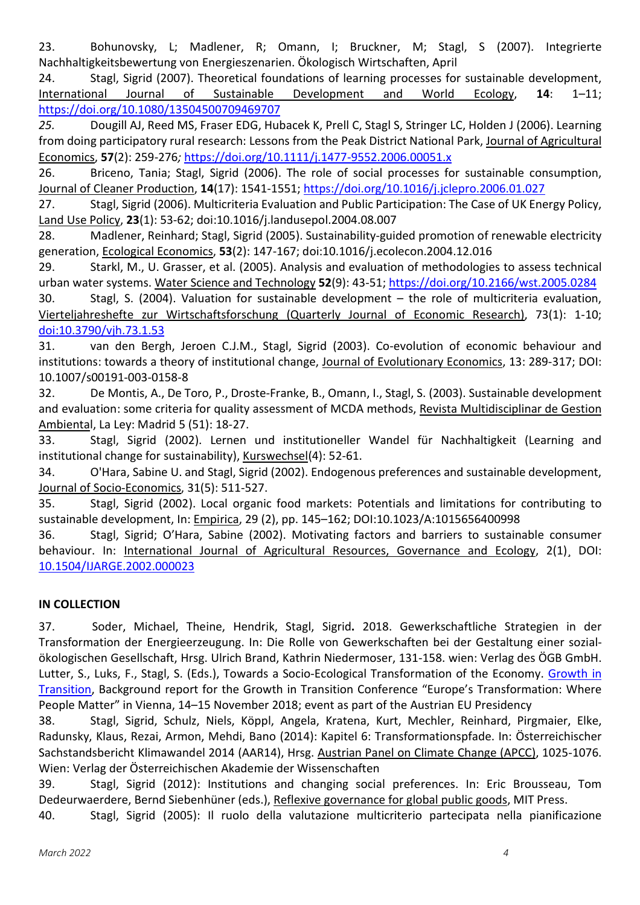23. Bohunovsky, L; Madlener, R; Omann, I; Bruckner, M; Stagl, S (2007). Integrierte Nachhaltigkeitsbewertung von Energieszenarien. Ökologisch Wirtschaften, April

24. Stagl, Sigrid (2007). Theoretical foundations of learning processes for sustainable development, International Journal of Sustainable Development and World Ecology, 14: 1-11; https://doi.org/10.1080/13504500709469707

*25.* Dougill AJ, Reed MS, Fraser EDG, Hubacek K, Prell C, Stagl S, Stringer LC, Holden J (2006). Learning from doing participatory rural research: Lessons from the Peak District National Park, Journal of Agricultural Economics, **57**(2): 259-276*;* https://doi.org/10.1111/j.1477-9552.2006.00051.x

26. Briceno, Tania; Stagl, Sigrid (2006). The role of social processes for sustainable consumption, Journal of Cleaner Production, **14**(17): 1541-1551; https://doi.org/10.1016/j.jclepro.2006.01.027

27. Stagl, Sigrid (2006). Multicriteria Evaluation and Public Participation: The Case of UK Energy Policy, Land Use Policy, **23**(1): 53-62; doi:10.1016/j.landusepol.2004.08.007

28. Madlener, Reinhard; Stagl, Sigrid (2005). Sustainability-guided promotion of renewable electricity generation, Ecological Economics, **53**(2): 147-167; doi:10.1016/j.ecolecon.2004.12.016

29. Starkl, M., U. Grasser, et al. (2005). Analysis and evaluation of methodologies to assess technical urban water systems. Water Science and Technology **52**(9): 43-51; https://doi.org/10.2166/wst.2005.0284

30. Stagl, S. (2004). Valuation for sustainable development – the role of multicriteria evaluation, Vierteljahreshefte zur Wirtschaftsforschung (Quarterly Journal of Economic Research), 73(1): 1-10; doi:10.3790/vjh.73.1.53

31. van den Bergh, Jeroen C.J.M., Stagl, Sigrid (2003). Co-evolution of economic behaviour and institutions: towards a theory of institutional change, Journal of Evolutionary Economics, 13: 289-317; DOI: 10.1007/s00191-003-0158-8

32. De Montis, A., De Toro, P., Droste-Franke, B., Omann, I., Stagl, S. (2003). Sustainable development and evaluation: some criteria for quality assessment of MCDA methods, Revista Multidisciplinar de Gestion Ambiental, La Ley: Madrid 5 (51): 18-27.

33. Stagl, Sigrid (2002). Lernen und institutioneller Wandel für Nachhaltigkeit (Learning and institutional change for sustainability), Kurswechsel(4): 52-61.

34. O'Hara, Sabine U. and Stagl, Sigrid (2002). Endogenous preferences and sustainable development, Journal of Socio-Economics, 31(5): 511-527.

35. Stagl, Sigrid (2002). Local organic food markets: Potentials and limitations for contributing to sustainable development, In: *Empirica*, 29 (2), pp. 145-162; DOI:10.1023/A:1015656400998

36. Stagl, Sigrid; OíHara, Sabine (2002). Motivating factors and barriers to sustainable consumer behaviour. In: International Journal of Agricultural Resources, Governance and Ecology, 2(1)¸ DOI: 10.1504/IJARGE.2002.000023

# **IN COLLECTION**

37. Soder, Michael, Theine, Hendrik, Stagl, Sigrid**.** 2018. Gewerkschaftliche Strategien in der Transformation der Energieerzeugung. In: Die Rolle von Gewerkschaften bei der Gestaltung einer sozialökologischen Gesellschaft, Hrsg. Ulrich Brand, Kathrin Niedermoser, 131-158. wien: Verlag des ÖGB GmbH. Lutter, S., Luks, F., Stagl, S. (Eds.), Towards a Socio-Ecological Transformation of the Economy. Growth in Transition, Background report for the Growth in Transition Conference "Europe's Transformation: Where People Matter" in Vienna, 14-15 November 2018; event as part of the Austrian EU Presidency

38. Stagl, Sigrid, Schulz, Niels, Köppl, Angela, Kratena, Kurt, Mechler, Reinhard, Pirgmaier, Elke, Radunsky, Klaus, Rezai, Armon, Mehdi, Bano (2014): Kapitel 6: Transformationspfade. In: Österreichischer Sachstandsbericht Klimawandel 2014 (AAR14), Hrsg. Austrian Panel on Climate Change (APCC), 1025-1076. Wien: Verlag der Österreichischen Akademie der Wissenschaften

39. Stagl, Sigrid (2012): Institutions and changing social preferences. In: Eric Brousseau, Tom Dedeurwaerdere, Bernd Siebenhüner (eds.), Reflexive governance for global public goods, MIT Press.

40. Stagl, Sigrid (2005): Il ruolo della valutazione multicriterio partecipata nella pianificazione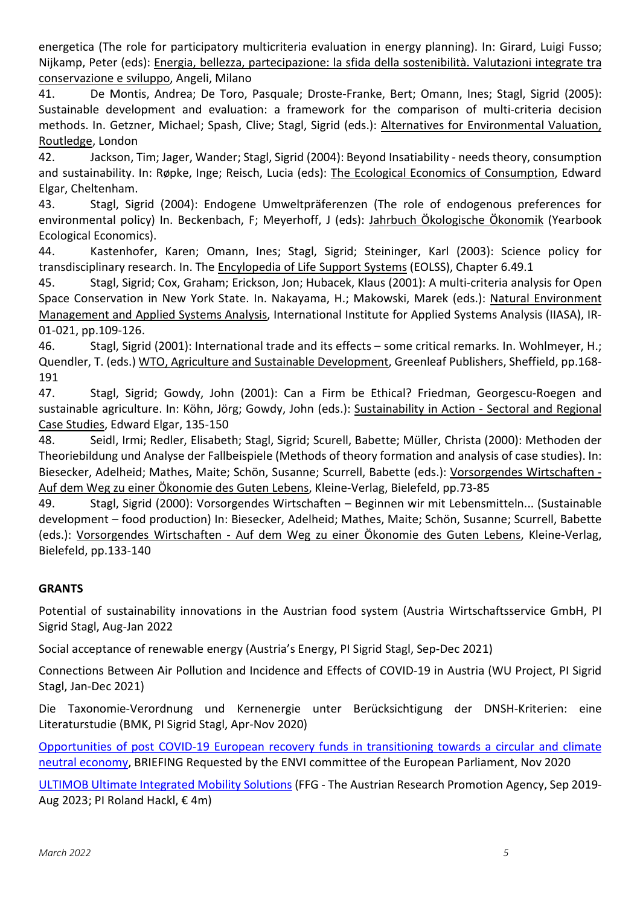energetica (The role for participatory multicriteria evaluation in energy planning). In: Girard, Luigi Fusso; Nijkamp, Peter (eds): Energia, bellezza, partecipazione: la sfida della sostenibilità. Valutazioni integrate tra conservazione e sviluppo, Angeli, Milano

41. De Montis, Andrea; De Toro, Pasquale; Droste-Franke, Bert; Omann, Ines; Stagl, Sigrid (2005): Sustainable development and evaluation: a framework for the comparison of multi-criteria decision methods. In. Getzner, Michael; Spash, Clive; Stagl, Sigrid (eds.): Alternatives for Environmental Valuation, Routledge, London

42. Jackson, Tim; Jager, Wander; Stagl, Sigrid (2004): Beyond Insatiability - needs theory, consumption and sustainability. In: Røpke, Inge; Reisch, Lucia (eds): The Ecological Economics of Consumption, Edward Elgar, Cheltenham.

43. Stagl, Sigrid (2004): Endogene Umweltpräferenzen (The role of endogenous preferences for environmental policy) In. Beckenbach, F; Meyerhoff, J (eds): Jahrbuch Ökologische Ökonomik (Yearbook Ecological Economics).

44. Kastenhofer, Karen; Omann, Ines; Stagl, Sigrid; Steininger, Karl (2003): Science policy for transdisciplinary research. In. The Encylopedia of Life Support Systems (EOLSS), Chapter 6.49.1

45. Stagl, Sigrid; Cox, Graham; Erickson, Jon; Hubacek, Klaus (2001): A multi-criteria analysis for Open Space Conservation in New York State. In. Nakayama, H.; Makowski, Marek (eds.): Natural Environment Management and Applied Systems Analysis, International Institute for Applied Systems Analysis (IIASA), IR-01-021, pp.109-126.

46. Stagl, Sigrid (2001): International trade and its effects – some critical remarks. In. Wohlmeyer, H.; Quendler, T. (eds.) WTO, Agriculture and Sustainable Development, Greenleaf Publishers, Sheffield, pp.168- 191

47. Stagl, Sigrid; Gowdy, John (2001): Can a Firm be Ethical? Friedman, Georgescu-Roegen and sustainable agriculture. In: Köhn, Jörg; Gowdy, John (eds.): Sustainability in Action - Sectoral and Regional Case Studies, Edward Elgar, 135-150

48. Seidl, Irmi; Redler, Elisabeth; Stagl, Sigrid; Scurell, Babette; Müller, Christa (2000): Methoden der Theoriebildung und Analyse der Fallbeispiele (Methods of theory formation and analysis of case studies). In: Biesecker, Adelheid; Mathes, Maite; Schön, Susanne; Scurrell, Babette (eds.): Vorsorgendes Wirtschaften -Auf dem Weg zu einer Ökonomie des Guten Lebens, Kleine-Verlag, Bielefeld, pp.73-85

49. Stagl, Sigrid (2000): Vorsorgendes Wirtschaften – Beginnen wir mit Lebensmitteln... (Sustainable development – food production) In: Biesecker, Adelheid; Mathes, Maite; Schön, Susanne; Scurrell, Babette (eds.): Vorsorgendes Wirtschaften - Auf dem Weg zu einer Ökonomie des Guten Lebens, Kleine-Verlag, Bielefeld, pp.133-140

# **GRANTS**

Potential of sustainability innovations in the Austrian food system (Austria Wirtschaftsservice GmbH, PI Sigrid Stagl, Aug-Jan 2022

Social acceptance of renewable energy (Austria's Energy, PI Sigrid Stagl, Sep-Dec 2021)

Connections Between Air Pollution and Incidence and Effects of COVID-19 in Austria (WU Project, PI Sigrid Stagl, Jan-Dec 2021)

Die Taxonomie-Verordnung und Kernenergie unter Berücksichtigung der DNSH-Kriterien: eine Literaturstudie (BMK, PI Sigrid Stagl, Apr-Nov 2020)

Opportunities of post COVID-19 European recovery funds in transitioning towards a circular and climate neutral economy, BRIEFING Requested by the ENVI committee of the European Parliament, Nov 2020

ULTIMOB Ultimate Integrated Mobility Solutions (FFG - The Austrian Research Promotion Agency, Sep 2019- Aug 2023; PI Roland Hackl,  $\epsilon$  4m)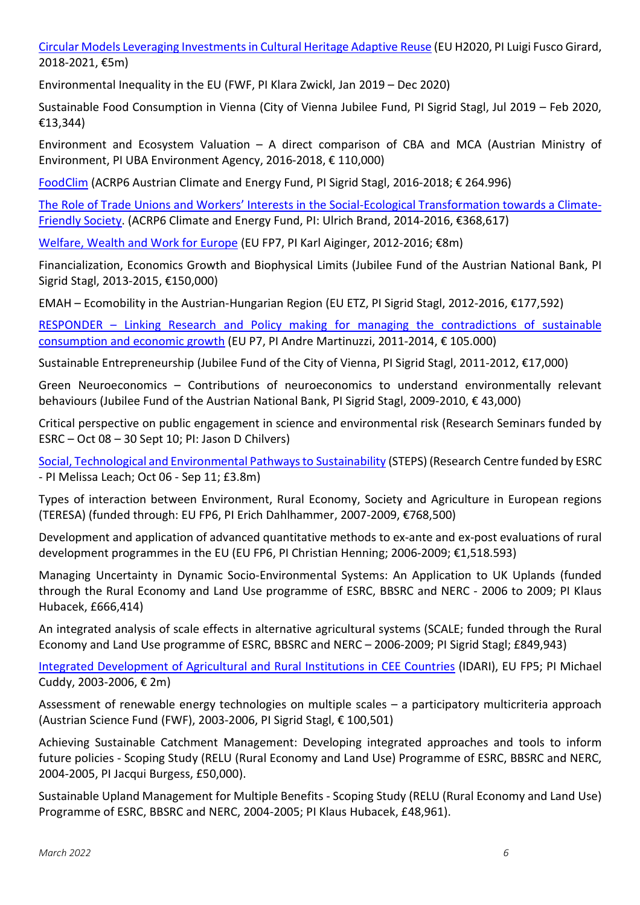Circular Models Leveraging Investments in Cultural Heritage Adaptive Reuse (EU H2020, PI Luigi Fusco Girard, 2018-2021, €5m)

Environmental Inequality in the EU (FWF, PI Klara Zwickl, Jan 2019 – Dec 2020)

Sustainable Food Consumption in Vienna (City of Vienna Jubilee Fund, PI Sigrid Stagl, Jul 2019 – Feb 2020,  $£13,344)$ 

Environment and Ecosystem Valuation  $-$  A direct comparison of CBA and MCA (Austrian Ministry of Environment, PI UBA Environment Agency, 2016-2018, € 110,000)

FoodClim (ACRP6 Austrian Climate and Energy Fund, PI Sigrid Stagl, 2016-2018;  $\epsilon$  264.996)

The Role of Trade Unions and Workers' Interests in the Social-Ecological Transformation towards a Climate-Friendly Society. (ACRP6 Climate and Energy Fund, PI: Ulrich Brand, 2014-2016, €368,617)

Welfare, Wealth and Work for Europe (EU FP7, PI Karl Aiginger, 2012-2016; €8m)

Financialization, Economics Growth and Biophysical Limits (Jubilee Fund of the Austrian National Bank, PI Sigrid Stagl, 2013-2015, €150,000)

EMAH – Ecomobility in the Austrian-Hungarian Region (EU ETZ, PI Sigrid Stagl, 2012-2016,  $£177,592)$ 

RESPONDER – Linking Research and Policy making for managing the contradictions of sustainable consumption and economic growth (EU P7, PI Andre Martinuzzi, 2011-2014,  $\epsilon$  105.000)

Sustainable Entrepreneurship (Jubilee Fund of the City of Vienna, PI Sigrid Stagl, 2011-2012, €17,000)

Green Neuroeconomics – Contributions of neuroeconomics to understand environmentally relevant behaviours (Jubilee Fund of the Austrian National Bank, PI Sigrid Stagl, 2009-2010, € 43,000)

Critical perspective on public engagement in science and environmental risk (Research Seminars funded by  $ESRC - Oct 08 - 30 Sept 10; Pl: Jason D Chilvers)$ 

Social, Technological and Environmental Pathways to Sustainability (STEPS) (Research Centre funded by ESRC - PI Melissa Leach; Oct 06 - Sep 11; £3.8m)

Types of interaction between Environment, Rural Economy, Society and Agriculture in European regions (TERESA) (funded through: EU FP6, PI Erich Dahlhammer, 2007-2009,  $E768,500$ )

Development and application of advanced quantitative methods to ex-ante and ex-post evaluations of rural development programmes in the EU (EU FP6, PI Christian Henning; 2006-2009;  $\epsilon$ 1,518.593)

Managing Uncertainty in Dynamic Socio-Environmental Systems: An Application to UK Uplands (funded through the Rural Economy and Land Use programme of ESRC, BBSRC and NERC - 2006 to 2009; PI Klaus Hubacek, £666,414)

An integrated analysis of scale effects in alternative agricultural systems (SCALE; funded through the Rural Economy and Land Use programme of ESRC, BBSRC and NERC – 2006-2009; PI Sigrid Stagl; £849,943)

Integrated Development of Agricultural and Rural Institutions in CEE Countries (IDARI), EU FP5; PI Michael Cuddy, 2003-2006,  $E$  2m)

Assessment of renewable energy technologies on multiple scales  $-$  a participatory multicriteria approach (Austrian Science Fund (FWF), 2003-2006, PI Sigrid Stagl,  $\epsilon$  100,501)

Achieving Sustainable Catchment Management: Developing integrated approaches and tools to inform future policies - Scoping Study (RELU (Rural Economy and Land Use) Programme of ESRC, BBSRC and NERC, 2004-2005, PI Jacqui Burgess, £50,000).

Sustainable Upland Management for Multiple Benefits - Scoping Study (RELU (Rural Economy and Land Use) Programme of ESRC, BBSRC and NERC, 2004-2005; PI Klaus Hubacek, £48,961).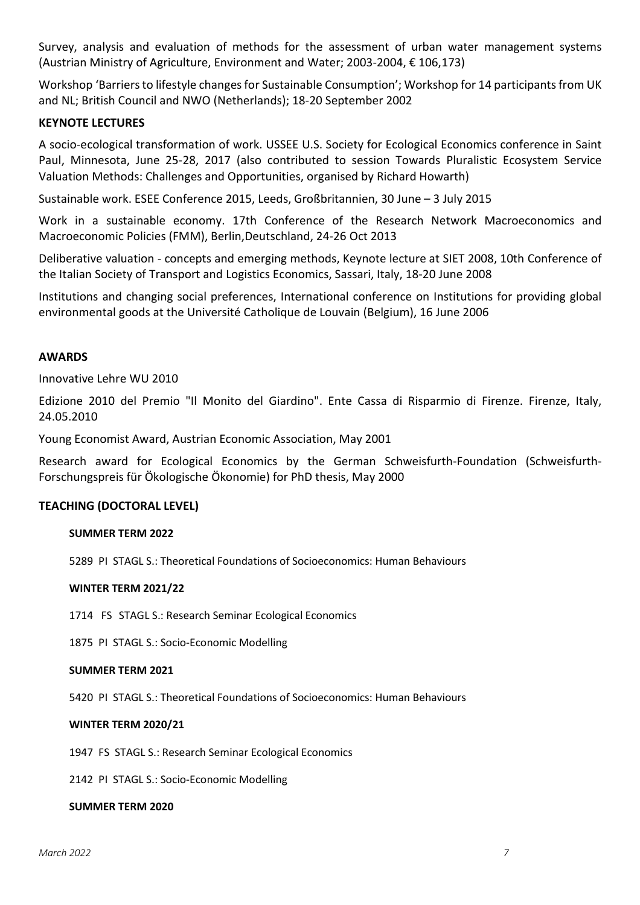Survey, analysis and evaluation of methods for the assessment of urban water management systems (Austrian Ministry of Agriculture, Environment and Water; 2003-2004,  $\epsilon$  106,173)

Workshop 'Barriers to lifestyle changes for Sustainable Consumption'; Workshop for 14 participants from UK and NL; British Council and NWO (Netherlands); 18-20 September 2002

## **KEYNOTE LECTURES**

A socio-ecological transformation of work. USSEE U.S. Society for Ecological Economics conference in Saint Paul, Minnesota, June 25-28, 2017 (also contributed to session Towards Pluralistic Ecosystem Service Valuation Methods: Challenges and Opportunities, organised by Richard Howarth)

Sustainable work. ESEE Conference 2015, Leeds, Großbritannien, 30 June - 3 July 2015

Work in a sustainable economy. 17th Conference of the Research Network Macroeconomics and Macroeconomic Policies (FMM), Berlin,Deutschland, 24-26 Oct 2013

Deliberative valuation - concepts and emerging methods, Keynote lecture at SIET 2008, 10th Conference of the Italian Society of Transport and Logistics Economics, Sassari, Italy, 18-20 June 2008

Institutions and changing social preferences, International conference on Institutions for providing global environmental goods at the Université Catholique de Louvain (Belgium), 16 June 2006

### **AWARDS**

Innovative Lehre WU 2010

Edizione 2010 del Premio "Il Monito del Giardino". Ente Cassa di Risparmio di Firenze. Firenze, Italy, 24.05.2010

Young Economist Award, Austrian Economic Association, May 2001

Research award for Ecological Economics by the German Schweisfurth-Foundation (Schweisfurth-Forschungspreis für Ökologische Ökonomie) for PhD thesis, May 2000

## **TEACHING (DOCTORAL LEVEL)**

### **SUMMER TERM 2022**

5289 PI STAGL S.: Theoretical Foundations of Socioeconomics: Human Behaviours

### **WINTER TERM 2021/22**

1714 FS STAGL S.: Research Seminar Ecological Economics

1875 PI STAGL S.: Socio-Economic Modelling

### **SUMMER TERM 2021**

5420 PI STAGL S.: Theoretical Foundations of Socioeconomics: Human Behaviours

### **WINTER TERM 2020/21**

1947 FS STAGL S.: Research Seminar Ecological Economics

2142 PI STAGL S.: Socio-Economic Modelling

#### **SUMMER TERM 2020**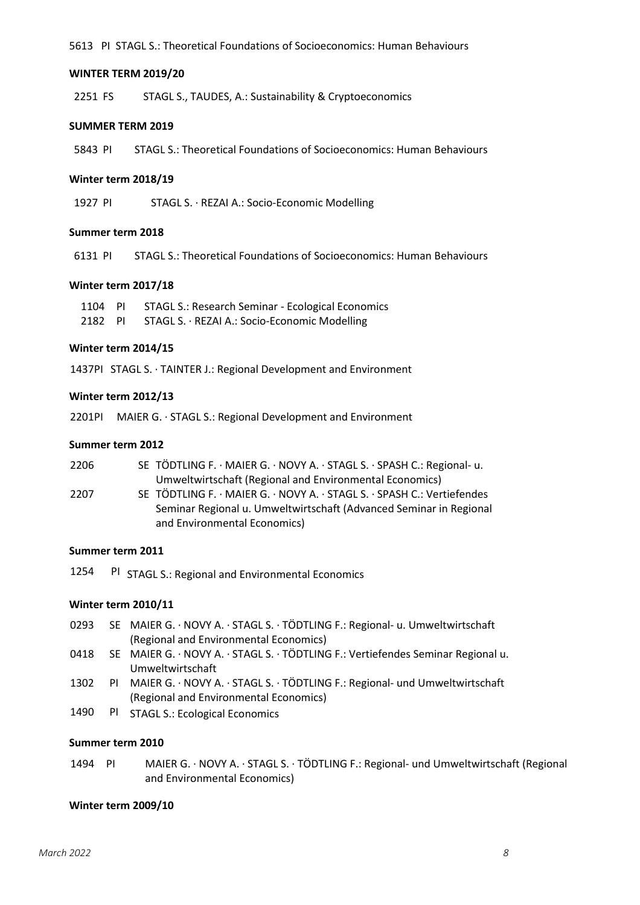5613 PI STAGL S.: Theoretical Foundations of Socioeconomics: Human Behaviours

#### **WINTER TERM 2019/20**

2251 FS STAGL S., TAUDES, A.: Sustainability & Cryptoeconomics

#### **SUMMER TERM 2019**

5843 PI STAGL S.: Theoretical Foundations of Socioeconomics: Human Behaviours

#### **Winter term 2018/19**

1927 PI STAGL S. REZAI A.: Socio-Economic Modelling

#### **Summer term 2018**

6131 PI STAGL S.: Theoretical Foundations of Socioeconomics: Human Behaviours

#### **Winter term 2017/18**

1104 PI STAGL S.: Research Seminar - Ecological Economics 2182 PI STAGL S. · REZAI A.: Socio-Economic Modelling

### **Winter term 2014/15**

1437PI STAGL S. TAINTER J.: Regional Development and Environment

#### **Winter term 2012/13**

2201PI MAIER G. STAGL S.: Regional Development and Environment

### **Summer term 2012**

| 2206 | SE TÖDTLING F. · MAIER G. · NOVY A. · STAGL S. · SPASH C.: Regional- u. |
|------|-------------------------------------------------------------------------|
|      | Umweltwirtschaft (Regional and Environmental Economics)                 |

2207 SE TÖDTLING F. · MAIER G. · NOVY A. · STAGL S. · SPASH C.: Vertiefendes Seminar Regional u. Umweltwirtschaft (Advanced Seminar in Regional and Environmental Economics)

### **Summer term 2011**

1254 PI STAGL S.: Regional and Environmental Economics

### **Winter term 2010/11**

- 0293 SE MAIER G. · NOVY A. · STAGL S. · TÖDTLING F.: Regional- u. Umweltwirtschaft (Regional and Environmental Economics)
- 0418 SE MAIER G. · NOVY A. · STAGL S. · TÖDTLING F.: Vertiefendes Seminar Regional u. Umweltwirtschaft
- 1302 PI MAIER G. · NOVY A. · STAGL S. · TÖDTLING F.: Regional- und Umweltwirtschaft (Regional and Environmental Economics)
- 1490 PI STAGL S.: Ecological Economics

#### **Summer term 2010**

1494 PI MAIER G. · NOVY A. · STAGL S. · TÖDTLING F.: Regional- und Umweltwirtschaft (Regional and Environmental Economics)

#### **Winter term 2009/10**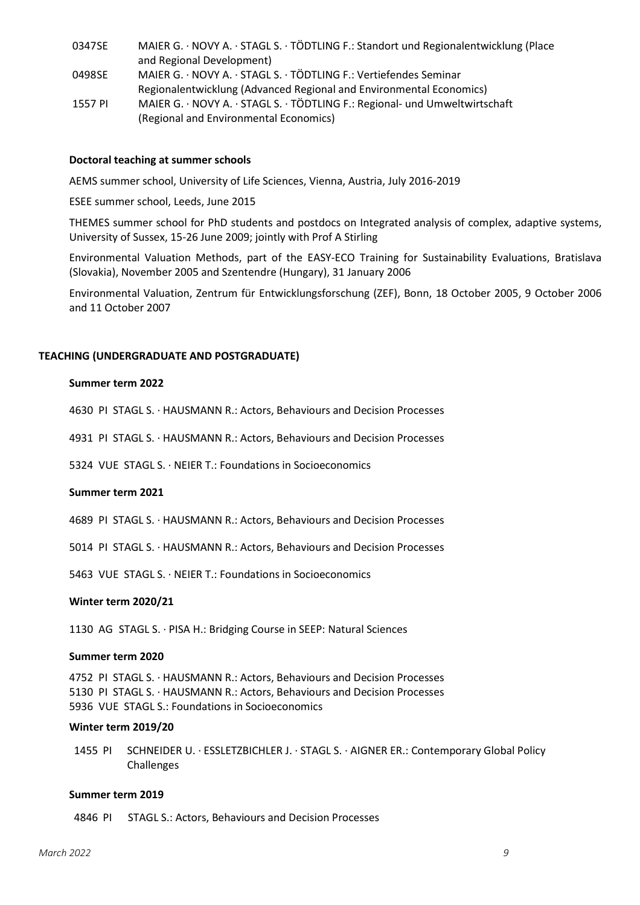- 0347SE MAIER G. · NOVY A. · STAGL S. · TÖDTLING F.: Standort und Regionalentwicklung (Place and Regional Development) 0498SE MAIER G. · NOVY A. · STAGL S. · TÖDTLING F.: Vertiefendes Seminar Regionalentwicklung (Advanced Regional and Environmental Economics)
- 1557 PI MAIER G. · NOVY A. · STAGL S. · TÖDTLING F.: Regional- und Umweltwirtschaft (Regional and Environmental Economics)

#### **Doctoral teaching at summer schools**

AEMS summer school, University of Life Sciences, Vienna, Austria, July 2016-2019

ESEE summer school, Leeds, June 2015

THEMES summer school for PhD students and postdocs on Integrated analysis of complex, adaptive systems, University of Sussex, 15-26 June 2009; jointly with Prof A Stirling

Environmental Valuation Methods, part of the EASY-ECO Training for Sustainability Evaluations, Bratislava (Slovakia), November 2005 and Szentendre (Hungary), 31 January 2006

Environmental Valuation, Zentrum für Entwicklungsforschung (ZEF), Bonn, 18 October 2005, 9 October 2006 and 11 October 2007

### **TEACHING (UNDERGRADUATE AND POSTGRADUATE)**

#### **Summer term 2022**

4630 PI STAGL S. HAUSMANN R.: Actors, Behaviours and Decision Processes

4931 PI STAGL S. HAUSMANN R.: Actors, Behaviours and Decision Processes

5324 VUE STAGL S. NEIER T.: Foundations in Socioeconomics

#### **Summer term 2021**

4689 PI STAGL S. HAUSMANN R.: Actors, Behaviours and Decision Processes

5014 PI STAGL S. HAUSMANN R.: Actors, Behaviours and Decision Processes

5463 VUE STAGL S. NEIER T.: Foundations in Socioeconomics

#### **Winter term 2020/21**

1130 AG STAGL S. · PISA H.: Bridging Course in SEEP: Natural Sciences

#### **Summer term 2020**

4752 PI STAGL S. HAUSMANN R.: Actors, Behaviours and Decision Processes 5130 PI STAGL S. HAUSMANN R.: Actors, Behaviours and Decision Processes 5936 VUE STAGL S.: Foundations in Socioeconomics

#### **Winter term 2019/20**

1455 PI SCHNEIDER U. ESSLETZBICHLER J. STAGL S. AIGNER ER.: Contemporary Global Policy Challenges

#### **Summer term 2019**

4846 PI STAGL S.: Actors, Behaviours and Decision Processes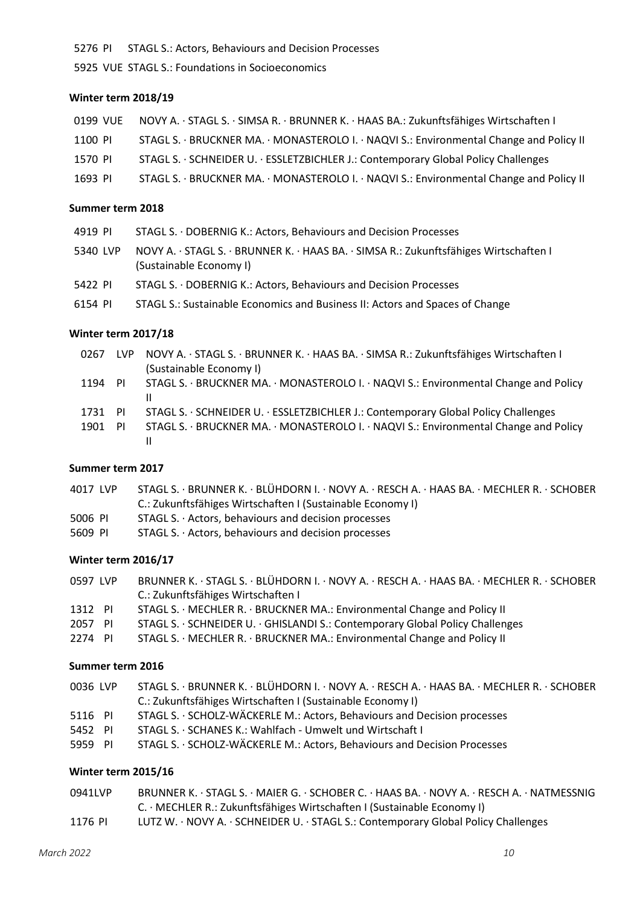PI STAGL S.: Actors, Behaviours and Decision Processes

VUE STAGL S.: Foundations in Socioeconomics

### **Winter term 2018/19**

| 0199 VUE | NOVY A. · STAGL S. · SIMSA R. · BRUNNER K. · HAAS BA.: Zukunftsfähiges Wirtschaften I   |
|----------|-----------------------------------------------------------------------------------------|
| 1100 PI  | STAGL S. · BRUCKNER MA. · MONASTEROLO I. · NAQVI S.: Environmental Change and Policy II |
| 1570 PI  | STAGL S. · SCHNEIDER U. · ESSLETZBICHLER J.: Contemporary Global Policy Challenges      |
| 1693 PI  | STAGL S. · BRUCKNER MA. · MONASTEROLO I. · NAQVI S.: Environmental Change and Policy II |

### **Summer term 2018**

| 4919 PI  | STAGL S. · DOBERNIG K.: Actors, Behaviours and Decision Processes                                                |
|----------|------------------------------------------------------------------------------------------------------------------|
| 5340 LVP | NOVY A. · STAGL S. · BRUNNER K. · HAAS BA. · SIMSA R.: Zukunftsfähiges Wirtschaften I<br>(Sustainable Economy I) |
| 5422 PI  | STAGL S. · DOBERNIG K.: Actors, Behaviours and Decision Processes                                                |
| 6154 PI  | STAGL S.: Sustainable Economics and Business II: Actors and Spaces of Change                                     |

### **Winter term 2017/18**

| 0267    | LVP. | NOVY A. · STAGL S. · BRUNNER K. · HAAS BA. · SIMSA R.: Zukunftsfähiges Wirtschaften I |
|---------|------|---------------------------------------------------------------------------------------|
|         |      | (Sustainable Economy I)                                                               |
| 1194 PI |      | STAGL S. · BRUCKNER MA. · MONASTEROLO I. · NAQVI S.: Environmental Change and Policy  |
|         |      | Ш                                                                                     |
| 1731    | - PI | STAGL S. · SCHNEIDER U. · ESSLETZBICHLER J.: Contemporary Global Policy Challenges    |
| 1901    | -PI  | STAGL S. · BRUCKNER MA. · MONASTEROLO I. · NAQVI S.: Environmental Change and Policy  |
|         |      | Ш                                                                                     |
|         |      |                                                                                       |

## **Summer term 2017**

| STAGL S. BRUNNER K. BLÜHDORN I. NOVY A. RESCH A. HAAS BA. MECHLER R. SCHOBER |
|------------------------------------------------------------------------------|
| C.: Zukunftsfähiges Wirtschaften I (Sustainable Economy I)                   |
| STAGL S. · Actors, behaviours and decision processes                         |
| STAGL S. · Actors, behaviours and decision processes                         |
|                                                                              |

# **Winter term 2016/17**

| 0597 LVP | BRUNNER K. · STAGL S. · BLÜHDORN I. · NOVY A. · RESCH A. · HAAS BA. · MECHLER R. · SCHOBER |
|----------|--------------------------------------------------------------------------------------------|
|          | C.: Zukunftsfähiges Wirtschaften I                                                         |
| 1312 PI  | STAGL S. · MECHLER R. · BRUCKNER MA.: Environmental Change and Policy II                   |
| 2057 PI  | STAGL S. · SCHNEIDER U. · GHISLANDI S.: Contemporary Global Policy Challenges              |
| 2274 PI  | STAGL S. MECHLER R. · BRUCKNER MA.: Environmental Change and Policy II                     |

# **Summer term 2016**

| 0036 LVP | STAGL S. BRUNNER K. BLÜHDORN I. NOVY A. RESCH A. HAAS BA. MECHLER R. SCHOBER |
|----------|------------------------------------------------------------------------------|
|          | C.: Zukunftsfähiges Wirtschaften I (Sustainable Economy I)                   |
| 5116 PI  | STAGL S. · SCHOLZ-WÄCKERLE M.: Actors, Behaviours and Decision processes     |
| 5452 PI  | STAGL S. · SCHANES K.: Wahlfach - Umwelt und Wirtschaft I                    |
| 5959 PI  | STAGL S. · SCHOLZ-WÄCKERLE M.: Actors, Behaviours and Decision Processes     |
|          |                                                                              |

## **Winter term 2015/16**

| 0941LVP | BRUNNER K. STAGL S. MAIER G. SCHOBER C. HAAS BA. NOVY A. RESCH A. NATMESSNIG |
|---------|------------------------------------------------------------------------------|
|         | C. · MECHLER R.: Zukunftsfähiges Wirtschaften I (Sustainable Economy I)      |
| 1176 PI | LUTZ W. NOVY A. SCHNEIDER U. STAGL S.: Contemporary Global Policy Challenges |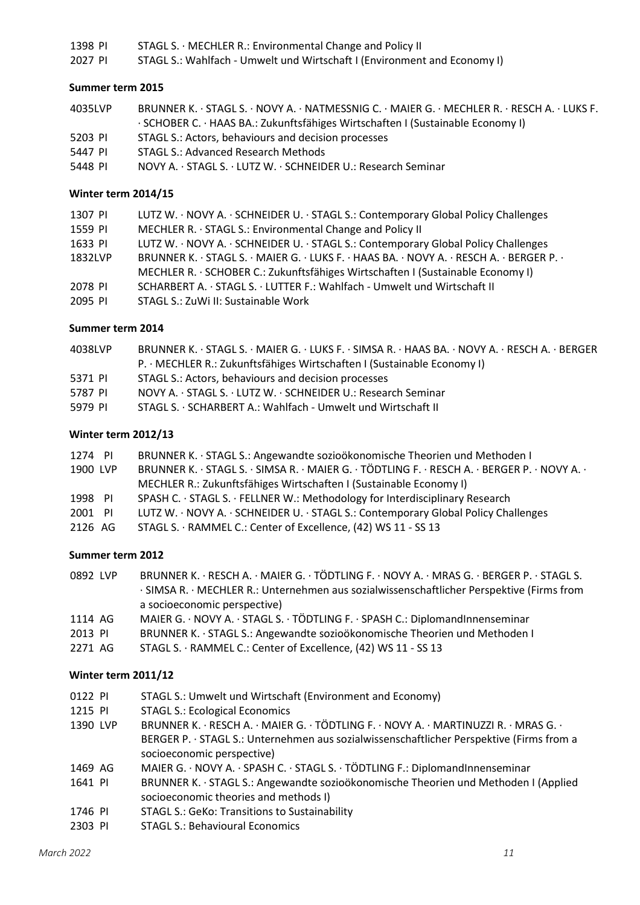1398 PI STAGL S. · MECHLER R.: Environmental Change and Policy II

2027 PI STAGL S.: Wahlfach - Umwelt und Wirtschaft I (Environment and Economy I)

### **Summer term 2015**

| 4035LVP | BRUNNER K. · STAGL S. · NOVY A. · NATMESSNIG C. · MAIER G. · MECHLER R. · RESCH A. · LUKS F. |
|---------|----------------------------------------------------------------------------------------------|
|         | · SCHOBER C. · HAAS BA.: Zukunftsfähiges Wirtschaften I (Sustainable Economy I)              |
| 5203 PI | STAGL S.: Actors, behaviours and decision processes                                          |
| 5447 PI | <b>STAGL S.: Advanced Research Methods</b>                                                   |
| 5448 PI | NOVY A. · STAGL S. · LUTZ W. · SCHNEIDER U.: Research Seminar                                |

### **Winter term 2014/15**

| 1307 PI | LUTZ W. NOVY A. · SCHNEIDER U. · STAGL S.: Contemporary Global Policy Challenges         |
|---------|------------------------------------------------------------------------------------------|
| 1559 PI | MECHLER R. · STAGL S.: Environmental Change and Policy II                                |
| 1633 PI | LUTZ W. · NOVY A. · SCHNEIDER U. · STAGL S.: Contemporary Global Policy Challenges       |
| 1832LVP | BRUNNER K. · STAGL S. · MAIER G. · LUKS F. · HAAS BA. · NOVY A. · RESCH A. · BERGER P. · |
|         | MECHLER R. · SCHOBER C.: Zukunftsfähiges Wirtschaften I (Sustainable Economy I)          |
| 2078 PI | SCHARBERT A. · STAGL S. · LUTTER F.: Wahlfach - Umwelt und Wirtschaft II                 |
| 2095 PI | STAGL S.: ZuWi II: Sustainable Work                                                      |

### **Summer term 2014**

| 4038LVP | BRUNNER K. STAGL S. MAIER G. LUKS F. SIMSA R. HAAS BA. NOVY A. RESCH A. BERGER |
|---------|--------------------------------------------------------------------------------|
|         | P. · MECHLER R.: Zukunftsfähiges Wirtschaften I (Sustainable Economy I)        |
| 5371 PI | STAGL S.: Actors, behaviours and decision processes                            |
| 5787 PI | NOVY A. STAGL S. LUTZ W. SCHNEIDER U.: Research Seminar                        |
| 5979 PL | STAGL S. · SCHARBERT A.: Wahlfach - Umwelt und Wirtschaft II                   |
|         |                                                                                |

### **Winter term 2012/13**

| 1274 PI  |  | BRUNNER K. · STAGL S.: Angewandte sozioökonomische Theorien und Methoden I                   |
|----------|--|----------------------------------------------------------------------------------------------|
| 1900 LVP |  | BRUNNER K. · STAGL S. · SIMSA R. · MAIER G. · TÖDTLING F. · RESCH A. · BERGER P. · NOVY A. · |
|          |  | MECHLER R.: Zukunftsfähiges Wirtschaften I (Sustainable Economy I)                           |
| 1998 PI  |  | SPASH C. · STAGL S. · FELLNER W.: Methodology for Interdisciplinary Research                 |
| 2001 PI  |  | LUTZ W. NOVY A. · SCHNEIDER U. · STAGL S.: Contemporary Global Policy Challenges             |
| 2126 AG  |  | STAGL S. · RAMMEL C.: Center of Excellence, (42) WS 11 - SS 13                               |

### **Summer term 2012**

| 0892 LVP | BRUNNER K. · RESCH A. · MAIER G. · TÖDTLING F. · NOVY A. · MRAS G. · BERGER P. · STAGL S. |
|----------|-------------------------------------------------------------------------------------------|
|          | · SIMSA R. · MECHLER R.: Unternehmen aus sozialwissenschaftlicher Perspektive (Firms from |
|          | a socioeconomic perspective)                                                              |
| .        | $\mathbf{A}$                                                                              |

- 1114 AG MAIER G. · NOVY A. · STAGL S. · TÖDTLING F. · SPASH C.: DiplomandInnenseminar
- 2013 PI BRUNNER K. · STAGL S.: Angewandte sozioökonomische Theorien und Methoden I
- 2271 AG STAGL S. · RAMMEL C.: Center of Excellence, (42) WS 11 SS 13

## **Winter term 2011/12**

- 0122 PI STAGL S.: Umwelt und Wirtschaft (Environment and Economy)
- 1215 PI STAGL S.: Ecological Economics
- 1390 LVP BRUNNER K. · RESCH A. · MAIER G. · TÖDTLING F. · NOVY A. · MARTINUZZI R. · MRAS G. · BERGER P. STAGL S.: Unternehmen aus sozialwissenschaftlicher Perspektive (Firms from a socioeconomic perspective)
- 1469 AG MAIER G. · NOVY A. · SPASH C. · STAGL S. · TÖDTLING F.: DiplomandInnenseminar
- 1641 PI BRUNNER K. · STAGL S.: Angewandte sozioökonomische Theorien und Methoden I (Applied socioeconomic theories and methods I)
- 1746 PI STAGL S.: GeKo: Transitions to Sustainability
- 2303 PI STAGL S.: Behavioural Economics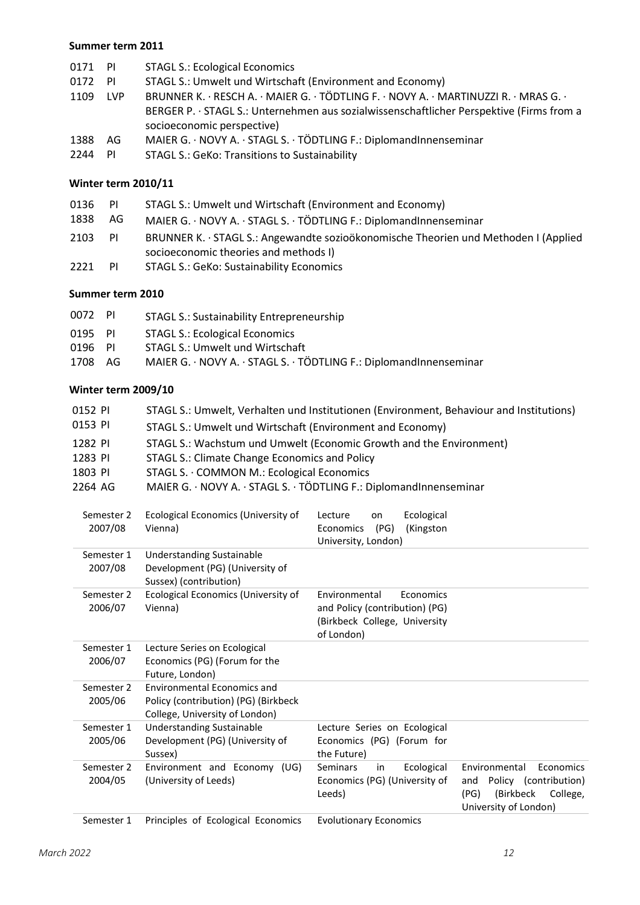### **Summer term 2011**

| 0171 PI |            | <b>STAGL S.: Ecological Economics</b>                                                    |  |  |
|---------|------------|------------------------------------------------------------------------------------------|--|--|
| 0172    | - PI       | STAGL S.: Umwelt und Wirtschaft (Environment and Economy)                                |  |  |
| 1109    | <b>LVP</b> | BRUNNER K. · RESCH A. · MAIER G. · TÖDTLING F. · NOVY A. · MARTINUZZI R. · MRAS G. ·     |  |  |
|         |            | BERGER P. · STAGL S.: Unternehmen aus sozialwissenschaftlicher Perspektive (Firms from a |  |  |
|         |            | socioeconomic perspective)                                                               |  |  |
| 1388    | AG.        | MAIER G. · NOVY A. · STAGL S. · TÖDTLING F.: DiplomandInnenseminar                       |  |  |
| 2244    | PI         | <b>STAGL S.: GeKo: Transitions to Sustainability</b>                                     |  |  |

# **Winter term 2010/11**

| 0136 | -PI | STAGL S.: Umwelt und Wirtschaft (Environment and Economy)                           |  |
|------|-----|-------------------------------------------------------------------------------------|--|
| 1838 | AG. | MAIER G. · NOVY A. · STAGL S. · TÖDTLING F.: DiplomandInnenseminar                  |  |
| 2103 | -PI | BRUNNER K. · STAGL S.: Angewandte sozioökonomische Theorien und Methoden I (Applied |  |
|      |     | socioeconomic theories and methods I)                                               |  |
| 2221 | PI  | <b>STAGL S.: GeKo: Sustainability Economics</b>                                     |  |

## **Summer term 2010**

| 0072 PI | STAGL S.: Sustainability Entrepreneurship                          |
|---------|--------------------------------------------------------------------|
| 0195 PI | STAGL S.: Ecological Economics                                     |
| 0196 PI | STAGL S.: Umwelt und Wirtschaft                                    |
| 1708 AG | MAIER G. · NOVY A. · STAGL S. · TÖDTLING F.: DiplomandInnenseminar |
|         |                                                                    |

# **Winter term 2009/10**

| 0152 PI<br>0153 PI    | STAGL S.: Umwelt, Verhalten und Institutionen (Environment, Behaviour and Institutions)<br>STAGL S.: Umwelt und Wirtschaft (Environment and Economy) |                                                                                                             |                                                                                                                      |  |
|-----------------------|------------------------------------------------------------------------------------------------------------------------------------------------------|-------------------------------------------------------------------------------------------------------------|----------------------------------------------------------------------------------------------------------------------|--|
| 1282 PI               | STAGL S.: Wachstum und Umwelt (Economic Growth and the Environment)                                                                                  |                                                                                                             |                                                                                                                      |  |
| 1283 PI               | <b>STAGL S.: Climate Change Economics and Policy</b>                                                                                                 |                                                                                                             |                                                                                                                      |  |
| 1803 PI               | STAGL S. · COMMON M.: Ecological Economics                                                                                                           |                                                                                                             |                                                                                                                      |  |
| 2264 AG               | MAIER G. · NOVY A. · STAGL S. · TÖDTLING F.: DiplomandInnenseminar                                                                                   |                                                                                                             |                                                                                                                      |  |
| Semester 2<br>2007/08 | Ecological Economics (University of<br>Vienna)                                                                                                       | Ecological<br>Lecture<br>on<br>(PG)<br>Economics<br>(Kingston<br>University, London)                        |                                                                                                                      |  |
| Semester 1<br>2007/08 | <b>Understanding Sustainable</b><br>Development (PG) (University of<br>Sussex) (contribution)                                                        |                                                                                                             |                                                                                                                      |  |
| Semester 2<br>2006/07 | Ecological Economics (University of<br>Vienna)                                                                                                       | Environmental<br>Economics<br>and Policy (contribution) (PG)<br>(Birkbeck College, University<br>of London) |                                                                                                                      |  |
| Semester 1<br>2006/07 | Lecture Series on Ecological<br>Economics (PG) (Forum for the<br>Future, London)                                                                     |                                                                                                             |                                                                                                                      |  |
| Semester 2<br>2005/06 | Environmental Economics and<br>Policy (contribution) (PG) (Birkbeck<br>College, University of London)                                                |                                                                                                             |                                                                                                                      |  |
| Semester 1<br>2005/06 | <b>Understanding Sustainable</b><br>Development (PG) (University of<br>Sussex)                                                                       | Lecture Series on Ecological<br>Economics (PG) (Forum for<br>the Future)                                    |                                                                                                                      |  |
| Semester 2<br>2004/05 | Environment and Economy (UG)<br>(University of Leeds)                                                                                                | <b>Seminars</b><br>Ecological<br>in<br>Economics (PG) (University of<br>Leeds)                              | Environmental<br>Economics<br>Policy (contribution)<br>and<br>(Birkbeck<br>(PG)<br>College,<br>University of London) |  |
|                       | Data states on formal associations                                                                                                                   | المستقطع والمستحيل<br>.                                                                                     |                                                                                                                      |  |

Semester 1 Principles of Ecological Economics Evolutionary Economics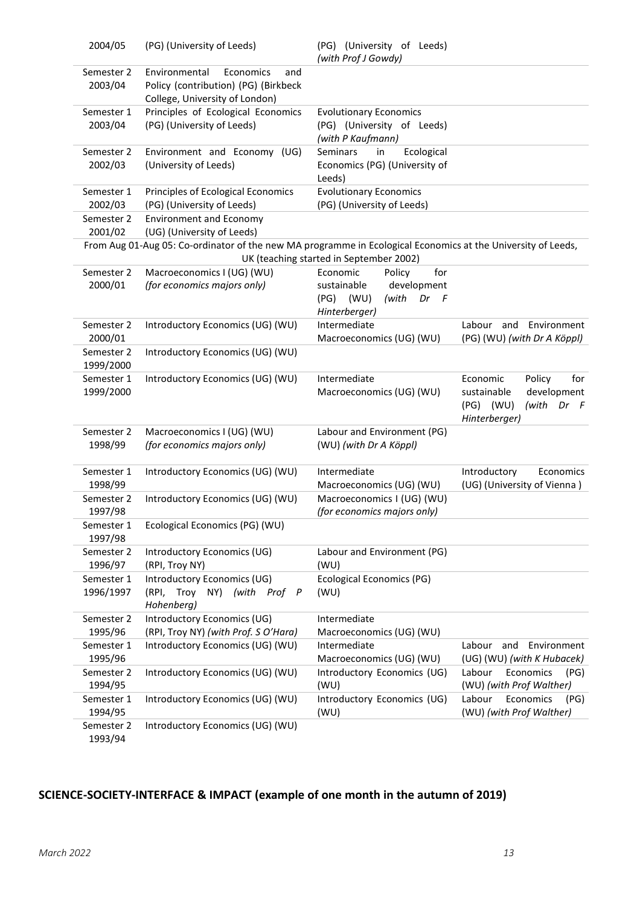| 2004/05                 | (PG) (University of Leeds)                                                                                   | (PG) (University of Leeds)<br>(with Prof J Gowdy)                                                            |                                                                                                          |
|-------------------------|--------------------------------------------------------------------------------------------------------------|--------------------------------------------------------------------------------------------------------------|----------------------------------------------------------------------------------------------------------|
| Semester 2<br>2003/04   | Environmental<br>Economics<br>and<br>Policy (contribution) (PG) (Birkbeck<br>College, University of London)  |                                                                                                              |                                                                                                          |
| Semester 1<br>2003/04   | Principles of Ecological Economics<br>(PG) (University of Leeds)                                             | <b>Evolutionary Economics</b><br>(PG) (University of Leeds)<br>(with P Kaufmann)                             |                                                                                                          |
| Semester 2<br>2002/03   | Environment and Economy (UG)<br>(University of Leeds)                                                        | <b>Seminars</b><br>in<br>Ecological<br>Economics (PG) (University of<br>Leeds)                               |                                                                                                          |
| Semester 1<br>2002/03   | Principles of Ecological Economics<br>(PG) (University of Leeds)                                             | <b>Evolutionary Economics</b><br>(PG) (University of Leeds)                                                  |                                                                                                          |
| Semester 2<br>2001/02   | <b>Environment and Economy</b><br>(UG) (University of Leeds)                                                 |                                                                                                              |                                                                                                          |
|                         | From Aug 01-Aug 05: Co-ordinator of the new MA programme in Ecological Economics at the University of Leeds, | UK (teaching started in September 2002)                                                                      |                                                                                                          |
| Semester 2<br>2000/01   | Macroeconomics I (UG) (WU)<br>(for economics majors only)                                                    | for<br>Economic<br>Policy<br>development<br>sustainable<br>(with<br>(PG)<br>(WU)<br>Dr<br>F<br>Hinterberger) |                                                                                                          |
| Semester 2<br>2000/01   | Introductory Economics (UG) (WU)                                                                             | Intermediate<br>Macroeconomics (UG) (WU)                                                                     | Environment<br>Labour and<br>(PG) (WU) (with Dr A Köppl)                                                 |
| Semester 2<br>1999/2000 | Introductory Economics (UG) (WU)                                                                             |                                                                                                              |                                                                                                          |
| Semester 1<br>1999/2000 | Introductory Economics (UG) (WU)                                                                             | Intermediate<br>Macroeconomics (UG) (WU)                                                                     | Economic<br>Policy<br>for<br>sustainable<br>development<br>$(PG)$ (WU)<br>(with<br>Dr F<br>Hinterberger) |
| Semester 2<br>1998/99   | Macroeconomics I (UG) (WU)<br>(for economics majors only)                                                    | Labour and Environment (PG)<br>(WU) (with Dr A Köppl)                                                        |                                                                                                          |
| Semester 1<br>1998/99   | Introductory Economics (UG) (WU)                                                                             | Intermediate<br>Macroeconomics (UG) (WU)                                                                     | Introductory<br>Economics<br>(UG) (University of Vienna)                                                 |
| Semester 2<br>1997/98   | Introductory Economics (UG) (WU)                                                                             | Macroeconomics I (UG) (WU)<br>(for economics majors only)                                                    |                                                                                                          |
| Semester 1<br>1997/98   | Ecological Economics (PG) (WU)                                                                               |                                                                                                              |                                                                                                          |
| Semester 2<br>1996/97   | Introductory Economics (UG)<br>(RPI, Troy NY)                                                                | Labour and Environment (PG)<br>(WU)                                                                          |                                                                                                          |
| Semester 1<br>1996/1997 | Introductory Economics (UG)<br>(RPI, Troy NY)<br>(with Prof P<br>Hohenberg)                                  | Ecological Economics (PG)<br>(WU)                                                                            |                                                                                                          |
| Semester 2<br>1995/96   | Introductory Economics (UG)<br>(RPI, Troy NY) (with Prof. S O'Hara)                                          | Intermediate<br>Macroeconomics (UG) (WU)                                                                     |                                                                                                          |
| Semester 1<br>1995/96   | Introductory Economics (UG) (WU)                                                                             | Intermediate<br>Macroeconomics (UG) (WU)                                                                     | Labour<br>and<br>Environment<br>(UG) (WU) (with K Hubacek)                                               |
| Semester 2<br>1994/95   | Introductory Economics (UG) (WU)                                                                             | Introductory Economics (UG)<br>(WU)                                                                          | Labour<br>Economics<br>(PG)<br>(WU) (with Prof Walther)                                                  |
| Semester 1<br>1994/95   | Introductory Economics (UG) (WU)                                                                             | Introductory Economics (UG)<br>(WU)                                                                          | Labour<br>Economics<br>(PG)<br>(WU) (with Prof Walther)                                                  |
| Semester 2<br>1993/94   | Introductory Economics (UG) (WU)                                                                             |                                                                                                              |                                                                                                          |

# **SCIENCE-SOCIETY-INTERFACE & IMPACT (example of one month in the autumn of 2019)**